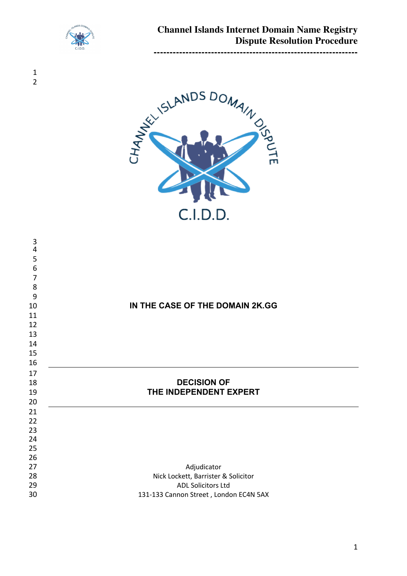

 



| 3<br>4         |                                                                     |
|----------------|---------------------------------------------------------------------|
| 5              |                                                                     |
| 6              |                                                                     |
| $\overline{7}$ |                                                                     |
| 8              |                                                                     |
| 9              |                                                                     |
| 10             | IN THE CASE OF THE DOMAIN 2K.GG                                     |
| 11             |                                                                     |
| 12             |                                                                     |
| 13             |                                                                     |
| 14             |                                                                     |
| 15             |                                                                     |
| 16             |                                                                     |
|                |                                                                     |
| 17             |                                                                     |
| 18             | <b>DECISION OF</b>                                                  |
| 19             | THE INDEPENDENT EXPERT                                              |
| 20             |                                                                     |
| 21             |                                                                     |
| 22             |                                                                     |
| 23             |                                                                     |
| 24             |                                                                     |
| 25             |                                                                     |
| 26             |                                                                     |
| 27             | Adjudicator                                                         |
| 28             | Nick Lockett, Barrister & Solicitor                                 |
| 29<br>30       | <b>ADL Solicitors Ltd</b><br>131-133 Cannon Street, London EC4N 5AX |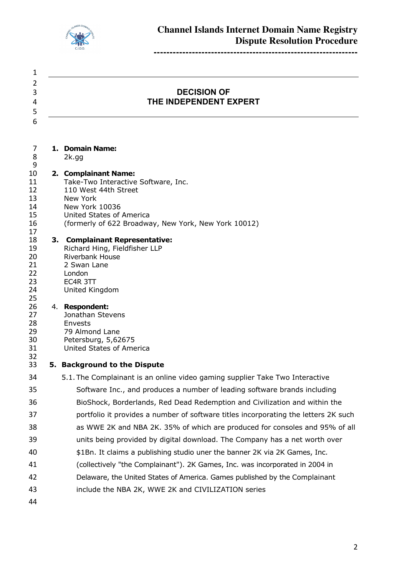

 **DECISION OF THE INDEPENDENT EXPERT**

| 7 | 1. Domain Name: |  |
|---|-----------------|--|

 2k.gg 

 

 

### **2. Complainant Name:**

- 11 Take-Two Interactive Software, Inc.<br>12 110 West 44th Street
- 12 110 West 44th Street<br>13 New York
- New York
- New York 10036
- United States of America
- (formerly of 622 Broadway, New York, New York 10012)

# **3. Complainant Representative:**

19 Richard Hing, Fieldfisher LLP<br>20 Riverbank House Riverbank House 21 2 Swan Lane<br>22 London London EC4R 3TT United Kingdom

#### 4. **Respondent:**

- Jonathan Stevens Envests 79 Almond Lane 30 Petersburg, 5,62675<br>31 United States of Ame
- United States of America

# **5. Background to the Dispute**

- 5.1. The Complainant is an online video gaming supplier Take Two Interactive Software Inc., and produces a number of leading software brands including BioShock, Borderlands, Red Dead Redemption and Civilization and within the portfolio it provides a number of software titles incorporating the letters 2K such as WWE 2K and NBA 2K. 35% of which are produced for consoles and 95% of all units being provided by digital download. The Company has a net worth over \$1Bn. It claims a publishing studio uner the banner 2K via 2K Games, Inc. (collectively "the Complainant"). 2K Games, Inc. was incorporated in 2004 in Delaware, the United States of America. Games published by the Complainant include the NBA 2K, WWE 2K and CIVILIZATION series
-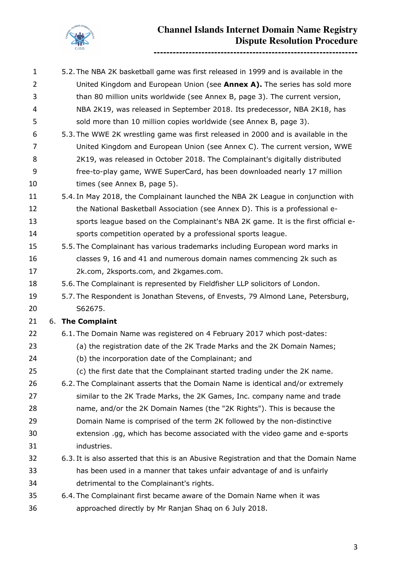

- 5.2.The NBA 2K basketball game was first released in 1999 and is available in the United Kingdom and European Union (see **Annex A).** The series has sold more than 80 million units worldwide (see Annex B, page 3). The current version, NBA 2K19, was released in September 2018. Its predecessor, NBA 2K18, has sold more than 10 million copies worldwide (see Annex B, page 3). 5.3.The WWE 2K wrestling game was first released in 2000 and is available in the United Kingdom and European Union (see Annex C). The current version, WWE 2K19, was released in October 2018. The Complainant's digitally distributed free-to-play game, WWE SuperCard, has been downloaded nearly 17 million 10 times (see Annex B, page 5). 5.4. In May 2018, the Complainant launched the NBA 2K League in conjunction with 12 the National Basketball Association (see Annex D). This is a professional e- sports league based on the Complainant's NBA 2K game. It is the first official e- sports competition operated by a professional sports league. 5.5. The Complainant has various trademarks including European word marks in classes 9, 16 and 41 and numerous domain names commencing 2k such as 2k.com, 2ksports.com, and 2kgames.com. 5.6. The Complainant is represented by Fieldfisher LLP solicitors of London. 5.7. The Respondent is Jonathan Stevens, of Envests, 79 Almond Lane, Petersburg, S62675. 6. **The Complaint** 6.1. The Domain Name was registered on 4 February 2017 which post-dates: (a) the registration date of the 2K Trade Marks and the 2K Domain Names; (b) the incorporation date of the Complainant; and (c) the first date that the Complainant started trading under the 2K name. 6.2. The Complainant asserts that the Domain Name is identical and/or extremely similar to the 2K Trade Marks, the 2K Games, Inc. company name and trade name, and/or the 2K Domain Names (the "2K Rights"). This is because the Domain Name is comprised of the term 2K followed by the non-distinctive extension .gg, which has become associated with the video game and e-sports industries. 6.3. It is also asserted that this is an Abusive Registration and that the Domain Name has been used in a manner that takes unfair advantage of and is unfairly detrimental to the Complainant's rights. 6.4. The Complainant first became aware of the Domain Name when it was
- approached directly by Mr Ranjan Shaq on 6 July 2018.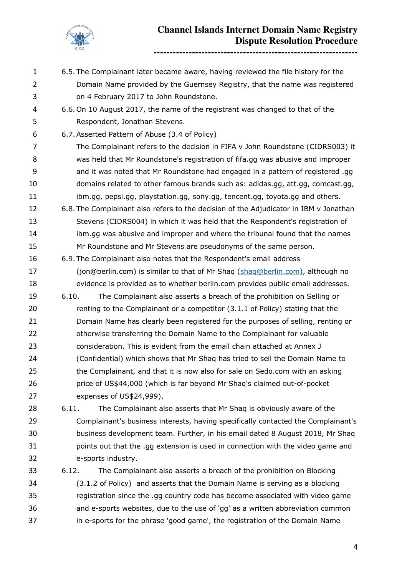

**----------------------------------------------------------------**

 6.5. The Complainant later became aware, having reviewed the file history for the Domain Name provided by the Guernsey Registry, that the name was registered on 4 February 2017 to John Roundstone. 6.6.On 10 August 2017, the name of the registrant was changed to that of the Respondent, Jonathan Stevens. 6.7.Asserted Pattern of Abuse (3.4 of Policy) The Complainant refers to the decision in FIFA v John Roundstone (CIDRS003) it was held that Mr Roundstone's registration of fifa.gg was abusive and improper and it was noted that Mr Roundstone had engaged in a pattern of registered .gg domains related to other famous brands such as: adidas.gg, att.gg, comcast.gg, ibm.gg, pepsi.gg, playstation.gg, sony.gg, tencent.gg, toyota.gg and others. 6.8. The Complainant also refers to the decision of the Adjudicator in IBM v Jonathan Stevens (CIDRS004) in which it was held that the Respondent's registration of ibm.gg was abusive and improper and where the tribunal found that the names Mr Roundstone and Mr Stevens are pseudonyms of the same person. 6.9. The Complainant also notes that the Respondent's email address 17 (jon@berlin.com) is similar to that of Mr Shaq (shaq@berlin.com), although no evidence is provided as to whether berlin.com provides public email addresses. 6.10. The Complainant also asserts a breach of the prohibition on Selling or 20 renting to the Complainant or a competitor (3.1.1 of Policy) stating that the Domain Name has clearly been registered for the purposes of selling, renting or 22 otherwise transferring the Domain Name to the Complainant for valuable consideration. This is evident from the email chain attached at Annex J (Confidential) which shows that Mr Shaq has tried to sell the Domain Name to 25 the Complainant, and that it is now also for sale on Sedo.com with an asking price of US\$44,000 (which is far beyond Mr Shaq's claimed out-of-pocket expenses of US\$24,999). 6.11. The Complainant also asserts that Mr Shaq is obviously aware of the Complainant's business interests, having specifically contacted the Complainant's business development team. Further, in his email dated 8 August 2018, Mr Shaq points out that the .gg extension is used in connection with the video game and e-sports industry. 6.12. The Complainant also asserts a breach of the prohibition on Blocking (3.1.2 of Policy) and asserts that the Domain Name is serving as a blocking registration since the .gg country code has become associated with video game and e-sports websites, due to the use of 'gg' as a written abbreviation common in e-sports for the phrase 'good game', the registration of the Domain Name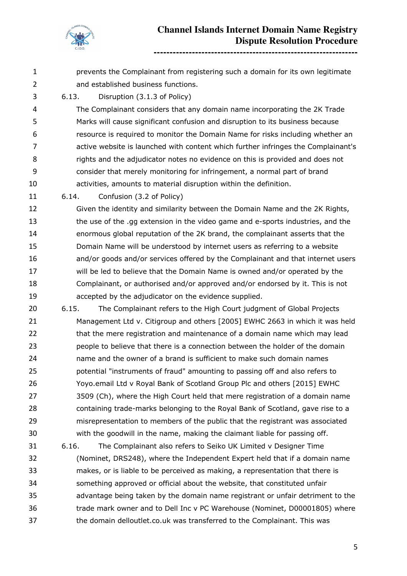

 prevents the Complainant from registering such a domain for its own legitimate and established business functions. 6.13. Disruption (3.1.3 of Policy) The Complainant considers that any domain name incorporating the 2K Trade Marks will cause significant confusion and disruption to its business because resource is required to monitor the Domain Name for risks including whether an active website is launched with content which further infringes the Complainant's rights and the adjudicator notes no evidence on this is provided and does not consider that merely monitoring for infringement, a normal part of brand activities, amounts to material disruption within the definition. 6.14. Confusion (3.2 of Policy) Given the identity and similarity between the Domain Name and the 2K Rights,

 the use of the .gg extension in the video game and e-sports industries, and the enormous global reputation of the 2K brand, the complainant asserts that the Domain Name will be understood by internet users as referring to a website and/or goods and/or services offered by the Complainant and that internet users will be led to believe that the Domain Name is owned and/or operated by the Complainant, or authorised and/or approved and/or endorsed by it. This is not accepted by the adjudicator on the evidence supplied.

- 6.15. The Complainant refers to the High Court judgment of Global Projects Management Ltd v. Citigroup and others [2005] EWHC 2663 in which it was held 22 that the mere registration and maintenance of a domain name which may lead people to believe that there is a connection between the holder of the domain name and the owner of a brand is sufficient to make such domain names potential "instruments of fraud" amounting to passing off and also refers to Yoyo.email Ltd v Royal Bank of Scotland Group Plc and others [2015] EWHC 3509 (Ch), where the High Court held that mere registration of a domain name containing trade-marks belonging to the Royal Bank of Scotland, gave rise to a misrepresentation to members of the public that the registrant was associated with the goodwill in the name, making the claimant liable for passing off.
- 6.16. The Complainant also refers to Seiko UK Limited v Designer Time (Nominet, DRS248), where the Independent Expert held that if a domain name makes, or is liable to be perceived as making, a representation that there is something approved or official about the website, that constituted unfair advantage being taken by the domain name registrant or unfair detriment to the trade mark owner and to Dell Inc v PC Warehouse (Nominet, D00001805) where the domain delloutlet.co.uk was transferred to the Complainant. This was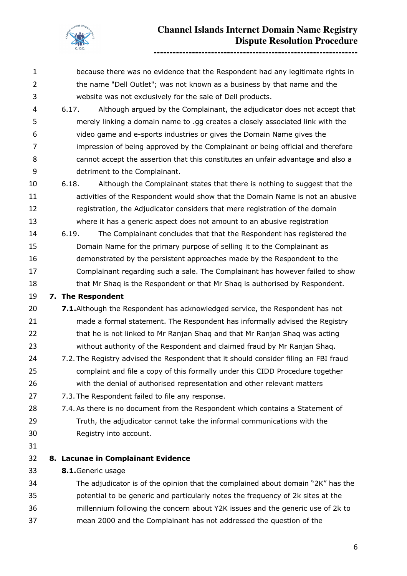

 the name "Dell Outlet"; was not known as a business by that name and the website was not exclusively for the sale of Dell products. 6.17. Although argued by the Complainant, the adjudicator does not accept that merely linking a domain name to .gg creates a closely associated link with the video game and e-sports industries or gives the Domain Name gives the impression of being approved by the Complainant or being official and therefore cannot accept the assertion that this constitutes an unfair advantage and also a detriment to the Complainant. 6.18. Although the Complainant states that there is nothing to suggest that the activities of the Respondent would show that the Domain Name is not an abusive registration, the Adjudicator considers that mere registration of the domain where it has a generic aspect does not amount to an abusive registration 6.19. The Complainant concludes that that the Respondent has registered the Domain Name for the primary purpose of selling it to the Complainant as demonstrated by the persistent approaches made by the Respondent to the Complainant regarding such a sale. The Complainant has however failed to show 18 that Mr Shaq is the Respondent or that Mr Shaq is authorised by Respondent. **7. The Respondent 7.1.**Although the Respondent has acknowledged service, the Respondent has not made a formal statement. The Respondent has informally advised the Registry 22 that he is not linked to Mr Ranjan Shaq and that Mr Ranjan Shaq was acting without authority of the Respondent and claimed fraud by Mr Ranjan Shaq. 7.2. The Registry advised the Respondent that it should consider filing an FBI fraud complaint and file a copy of this formally under this CIDD Procedure together with the denial of authorised representation and other relevant matters 7.3. The Respondent failed to file any response. 28 7.4. As there is no document from the Respondent which contains a Statement of Truth, the adjudicator cannot take the informal communications with the Registry into account. **8. Lacunae in Complainant Evidence 8.1.**Generic usage The adjudicator is of the opinion that the complained about domain "2K" has the potential to be generic and particularly notes the frequency of 2k sites at the

because there was no evidence that the Respondent had any legitimate rights in

 millennium following the concern about Y2K issues and the generic use of 2k to mean 2000 and the Complainant has not addressed the question of the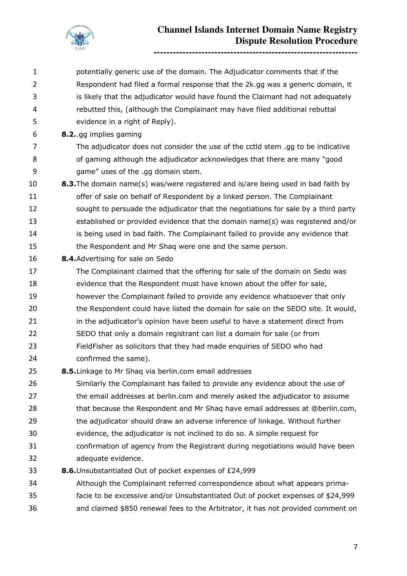

**----------------------------------------------------------------**

 potentially generic use of the domain. The Adjudicator comments that if the Respondent had filed a formal response that the 2k.gg was a generic domain, it is likely that the adjudicator would have found the Claimant had not adequately rebutted this, (although the Complainant may have filed additional rebuttal evidence in a right of Reply). **8.2.**.gg implies gaming The adjudicator does not consider the use of the cctld stem .gg to be indicative of gaming although the adjudicator acknowledges that there are many "good game" uses of the .gg domain stem. **8.3.**The domain name(s) was/were registered and is/are being used in bad faith by 11 offer of sale on behalf of Respondent by a linked person. The Complainant sought to persuade the adjudicator that the negotiations for sale by a third party established or provided evidence that the domain name(s) was registered and/or 14 is being used in bad faith. The Complainant failed to provide any evidence that the Respondent and Mr Shaq were one and the same person. **8.4.**Advertising for sale on Sedo The Complainant claimed that the offering for sale of the domain on Sedo was evidence that the Respondent must have known about the offer for sale, however the Complainant failed to provide any evidence whatsoever that only 20 the Respondent could have listed the domain for sale on the SEDO site. It would, 21 in the adjudicator's opinion have been useful to have a statement direct from SEDO that only a domain registrant can list a domain for sale (or from FieldFisher as solicitors that they had made enquiries of SEDO who had confirmed the same). **8.5.**Linkage to Mr Shaq via berlin.com email addresses Similarly the Complainant has failed to provide any evidence about the use of 27 the email addresses at berlin.com and merely asked the adjudicator to assume 28 that because the Respondent and Mr Shaq have email addresses at @berlin.com, 29 the adjudicator should draw an adverse inference of linkage. Without further evidence, the adjudicator is not inclined to do so. A simple request for confirmation of agency from the Registrant during negotiations would have been adequate evidence. **8.6.**Unsubstantiated Out of pocket expenses of £24,999 Although the Complainant referred correspondence about what appears prima- facie to be excessive and/or Unsubstantiated Out of pocket expenses of \$24,999 and claimed \$850 renewal fees to the Arbitrator, it has not provided comment on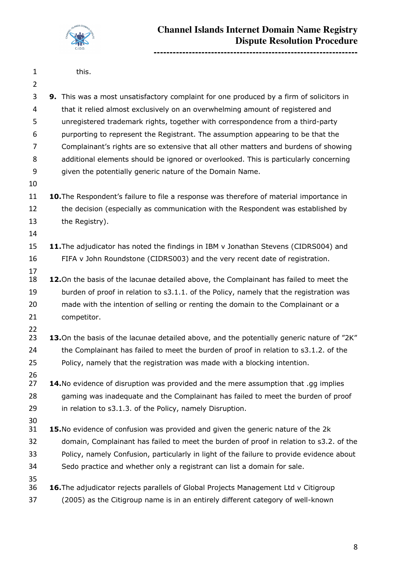

| 1 | this. |
|---|-------|
|---|-------|

 **9.** This was a most unsatisfactory complaint for one produced by a firm of solicitors in that it relied almost exclusively on an overwhelming amount of registered and unregistered trademark rights, together with correspondence from a third-party purporting to represent the Registrant. The assumption appearing to be that the Complainant's rights are so extensive that all other matters and burdens of showing additional elements should be ignored or overlooked. This is particularly concerning given the potentially generic nature of the Domain Name. **10.** The Respondent's failure to file a response was therefore of material importance in the decision (especially as communication with the Respondent was established by the Registry). 

- **11.**The adjudicator has noted the findings in IBM v Jonathan Stevens (CIDRS004) and FIFA v John Roundstone (CIDRS003) and the very recent date of registration.
- **12.**On the basis of the lacunae detailed above, the Complainant has failed to meet the 19 burden of proof in relation to s3.1.1. of the Policy, namely that the registration was made with the intention of selling or renting the domain to the Complainant or a competitor.
- 
- **13.**On the basis of the lacunae detailed above, and the potentially generic nature of "2K" 24 the Complainant has failed to meet the burden of proof in relation to s3.1.2. of the Policy, namely that the registration was made with a blocking intention.
- **14.**No evidence of disruption was provided and the mere assumption that .gg implies gaming was inadequate and the Complainant has failed to meet the burden of proof in relation to s3.1.3. of the Policy, namely Disruption.
- **15.**No evidence of confusion was provided and given the generic nature of the 2k domain, Complainant has failed to meet the burden of proof in relation to s3.2. of the Policy, namely Confusion, particularly in light of the failure to provide evidence about Sedo practice and whether only a registrant can list a domain for sale.
- **16.**The adjudicator rejects parallels of Global Projects Management Ltd v Citigroup (2005) as the Citigroup name is in an entirely different category of well-known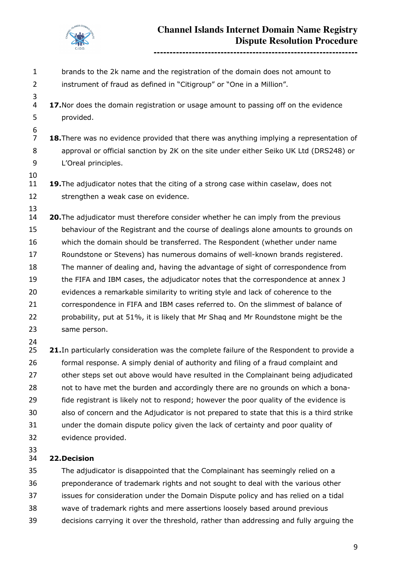

**----------------------------------------------------------------**

- brands to the 2k name and the registration of the domain does not amount to instrument of fraud as defined in "Citigroup" or "One in a Million". **17.**Nor does the domain registration or usage amount to passing off on the evidence provided. **18.**There was no evidence provided that there was anything implying a representation of approval or official sanction by 2K on the site under either Seiko UK Ltd (DRS248) or L'Oreal principles. **19.**The adjudicator notes that the citing of a strong case within caselaw, does not 12 strengthen a weak case on evidence. **20.**The adjudicator must therefore consider whether he can imply from the previous behaviour of the Registrant and the course of dealings alone amounts to grounds on which the domain should be transferred. The Respondent (whether under name Roundstone or Stevens) has numerous domains of well-known brands registered. The manner of dealing and, having the advantage of sight of correspondence from the FIFA and IBM cases, the adjudicator notes that the correspondence at annex J evidences a remarkable similarity to writing style and lack of coherence to the correspondence in FIFA and IBM cases referred to. On the slimmest of balance of probability, put at 51%, it is likely that Mr Shaq and Mr Roundstone might be the same person. **21.** In particularly consideration was the complete failure of the Respondent to provide a formal response. A simply denial of authority and filing of a fraud complaint and 27 other steps set out above would have resulted in the Complainant being adjudicated not to have met the burden and accordingly there are no grounds on which a bona- fide registrant is likely not to respond; however the poor quality of the evidence is also of concern and the Adjudicator is not prepared to state that this is a third strike under the domain dispute policy given the lack of certainty and poor quality of
- evidence provided.
- 

### **22.Decision**

 The adjudicator is disappointed that the Complainant has seemingly relied on a preponderance of trademark rights and not sought to deal with the various other issues for consideration under the Domain Dispute policy and has relied on a tidal wave of trademark rights and mere assertions loosely based around previous decisions carrying it over the threshold, rather than addressing and fully arguing the